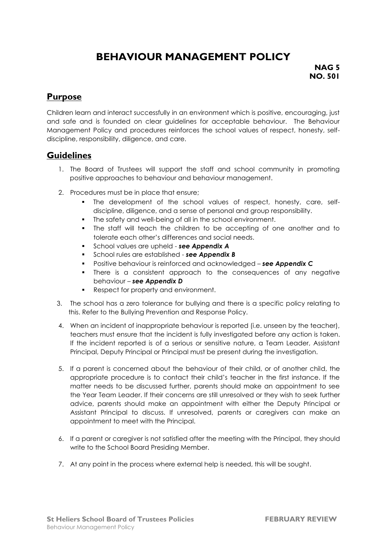# **BEHAVIOUR MANAGEMENT POLICY**

**NAG 5 NO. 501**

### **Purpose**

Children learn and interact successfully in an environment which is positive, encouraging, just and safe and is founded on clear guidelines for acceptable behaviour. The Behaviour Management Policy and procedures reinforces the school values of respect, honesty, selfdiscipline, responsibility, diligence, and care.

### **Guidelines**

- 1. The Board of Trustees will support the staff and school community in promoting positive approaches to behaviour and behaviour management.
- 2. Procedures must be in place that ensure;
	- The development of the school values of respect, honesty, care, selfdiscipline, diligence, and a sense of personal and group responsibility.
	- The safety and well-being of all in the school environment.
	- The staff will teach the children to be accepting of one another and to tolerate each other's differences and social needs.
	- School values are upheld *see Appendix A*
	- School rules are established *see Appendix B*
	- Positive behaviour is reinforced and acknowledged *see Appendix C*
	- There is a consistent approach to the consequences of any negative behaviour – *see Appendix D*
	- Respect for property and environment.
- 3. The school has a zero tolerance for bullying and there is a specific policy relating to this. Refer to the Bullying Prevention and Response Policy.
- 4. When an incident of inappropriate behaviour is reported (i.e. unseen by the teacher), teachers must ensure that the incident is fully investigated before any action is taken. If the incident reported is of a serious or sensitive nature, a Team Leader, Assistant Principal, Deputy Principal or Principal must be present during the investigation.
- 5. If a parent is concerned about the behaviour of their child, or of another child, the appropriate procedure is to contact their child's teacher in the first instance. If the matter needs to be discussed further, parents should make an appointment to see the Year Team Leader. If their concerns are still unresolved or they wish to seek further advice, parents should make an appointment with either the Deputy Principal or Assistant Principal to discuss. If unresolved, parents or caregivers can make an appointment to meet with the Principal.
- 6. If a parent or caregiver is not satisfied after the meeting with the Principal, they should write to the School Board Presiding Member.
- 7. At any point in the process where external help is needed, this will be sought.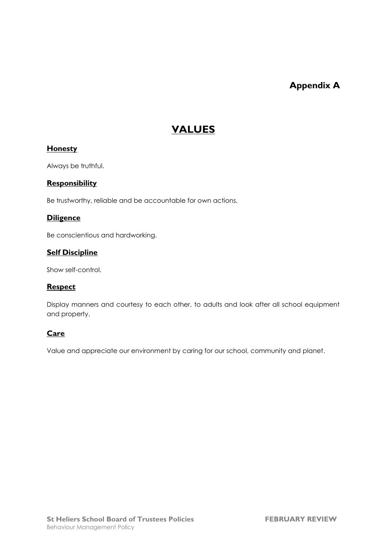## **Appendix A**

## **VALUES**

#### **Honesty**

Always be truthful.

#### **Responsibility**

Be trustworthy, reliable and be accountable for own actions.

### **Diligence**

Be conscientious and hardworking.

#### **Self Discipline**

Show self-control.

### **Respect**

Display manners and courtesy to each other, to adults and look after all school equipment and property.

#### **Care**

Value and appreciate our environment by caring for our school, community and planet.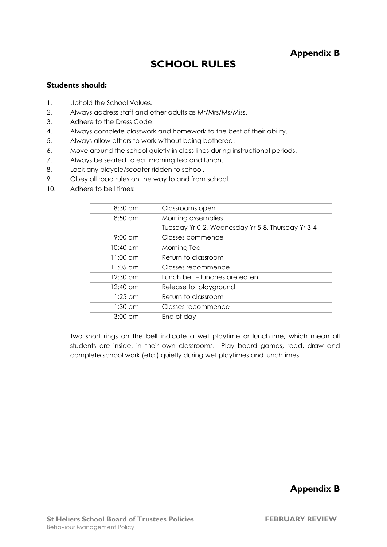### **Appendix B**

## **SCHOOL RULES**

#### **Students should:**

- 1. Uphold the School Values.
- 2. Always address staff and other adults as Mr/Mrs/Ms/Miss.
- 3. Adhere to the Dress Code.
- 4. Always complete classwork and homework to the best of their ability.
- 5. Always allow others to work without being bothered.
- 6. Move around the school quietly in class lines during instructional periods.
- 7. Always be seated to eat morning tea and lunch.
- 8. Lock any bicycle/scooter ridden to school.
- 9. Obey all road rules on the way to and from school.
- 10. Adhere to bell times:

| Classrooms open                                   |
|---------------------------------------------------|
| Morning assemblies                                |
| Tuesday Yr 0-2, Wednesday Yr 5-8, Thursday Yr 3-4 |
| Classes commence                                  |
| Morning Tea                                       |
| Return to classroom                               |
| <b>Classes recommence</b>                         |
| Lunch bell – lunches are eaten                    |
| Release to playground                             |
| Return to classroom                               |
| Classes recommence                                |
| End of day                                        |
|                                                   |

Two short rings on the bell indicate a wet playtime or lunchtime, which mean all students are inside, in their own classrooms. Play board games, read, draw and complete school work (etc.) quietly during wet playtimes and lunchtimes.

**Appendix B**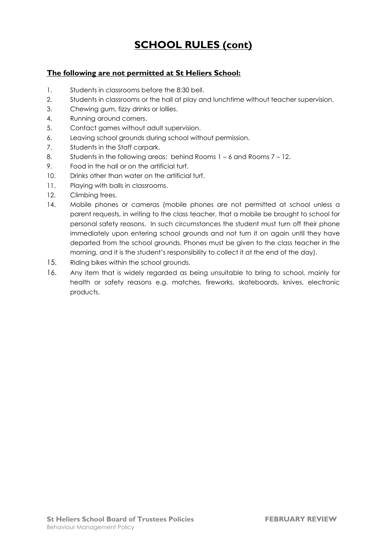# **SCHOOL RULES (cont)**

### **The following are not permitted at St Heliers School:**

- 1. Students in classrooms before the 8:30 bell.
- 2. Students in classrooms or the hall at play and lunchtime without teacher supervision.
- 3. Chewing gum, fizzy drinks or lollies.
- 4. Running around corners.
- 5. Contact games without adult supervision.
- 6. Leaving school grounds during school without permission.
- 7. Students in the Staff carpark.
- 8. Students in the following areas: behind Rooms 1 6 and Rooms 7 12.
- 9. Food in the hall or on the artificial turf.
- 10. Drinks other than water on the artificial turf.
- 11. Playing with balls in classrooms.
- 12. Climbing trees.
- 14. Mobile phones or cameras (mobile phones are not permitted at school unless a parent requests, in writing to the class teacher, that a mobile be brought to school for personal safety reasons. In such circumstances the student must turn off their phone immediately upon entering school grounds and not turn it on again until they have departed from the school grounds. Phones must be given to the class teacher in the morning, and it is the student's responsibility to collect it at the end of the day).
- 15. Riding bikes within the school grounds.
- 16. Any item that is widely regarded as being unsuitable to bring to school, mainly for health or safety reasons e.g. matches, fireworks, skateboards, knives, electronic products.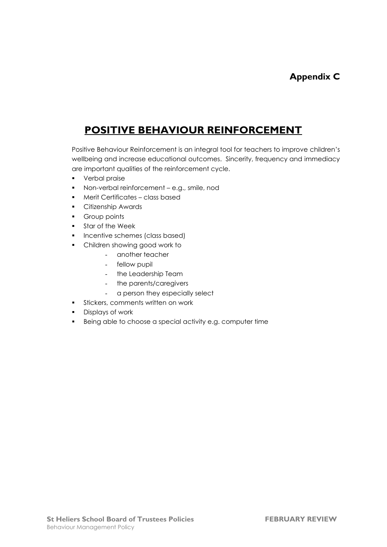# **POSITIVE BEHAVIOUR REINFORCEMENT**

Positive Behaviour Reinforcement is an integral tool for teachers to improve children's wellbeing and increase educational outcomes. Sincerity, frequency and immediacy are important qualities of the reinforcement cycle.

- Verbal praise
- Non-verbal reinforcement e.g., smile, nod
- Merit Certificates class based
- Citizenship Awards
- Group points
- Star of the Week
- **·** Incentive schemes (class based)
- Children showing good work to
	- another teacher
	- fellow pupil
	- the Leadership Team
	- the parents/caregivers
	- a person they especially select
- **•** Stickers, comments written on work
- Displays of work
- Being able to choose a special activity e.g. computer time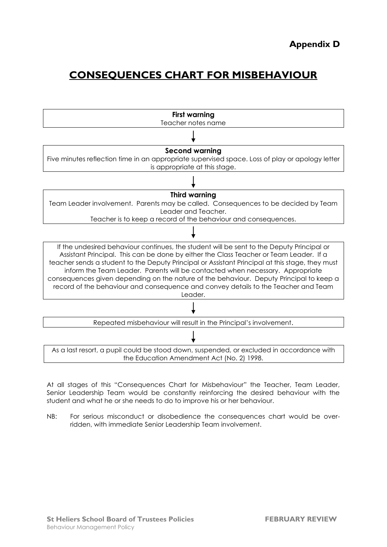## **CONSEQUENCES CHART FOR MISBEHAVIOUR**



At all stages of this "Consequences Chart for Misbehaviour" the Teacher, Team Leader, Senior Leadership Team would be constantly reinforcing the desired behaviour with the student and what he or she needs to do to improve his or her behaviour.

NB: For serious misconduct or disobedience the consequences chart would be overridden, with immediate Senior Leadership Team involvement.